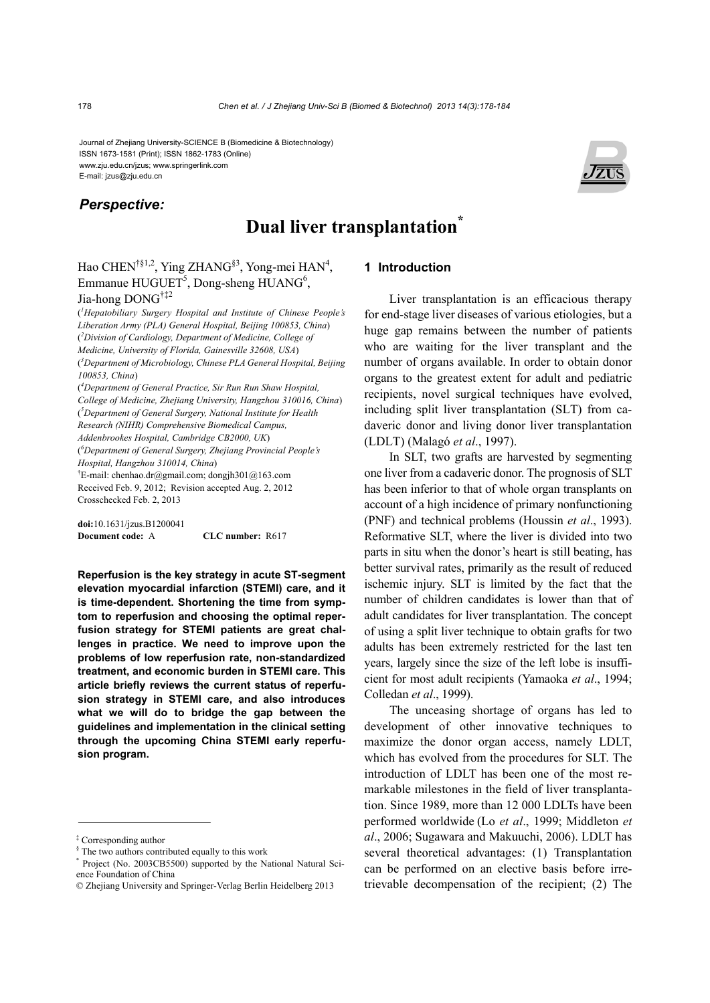Journal of Zhejiang University-SCIENCE B (Biomedicine & Biotechnology) ISSN 1673-1581 (Print); ISSN 1862-1783 (Online) www.zju.edu.cn/jzus; www.springerlink.com E-mail: jzus@zju.edu.cn

#### *Perspective:*

# **Dual liver transplantation\***

### Hao CHEN<sup>†§1,2</sup>, Ying ZHANG<sup>§3</sup>, Yong-mei HAN<sup>4</sup>, Emmanue  $HUGUET^5$ , Dong-sheng  $HUANG^6$ , Jia-hong DONG†‡2

( *1 Hepatobiliary Surgery Hospital and Institute of Chinese People's Liberation Army (PLA) General Hospital, Beijing 100853, China*) ( *2 Division of Cardiology, Department of Medicine, College of Medicine, University of Florida, Gainesville 32608, USA*) ( *3 Department of Microbiology, Chinese PLA General Hospital, Beijing 100853, China*) ( *4 Department of General Practice, Sir Run Run Shaw Hospital, College of Medicine, Zhejiang University, Hangzhou 310016, China*) ( *5 Department of General Surgery, National Institute for Health Research (NIHR) Comprehensive Biomedical Campus, Addenbrookes Hospital, Cambridge CB2000, UK*) ( *6 Department of General Surgery, Zhejiang Provincial People's Hospital, Hangzhou 310014, China*) † <sup>†</sup>E-mail: chenhao.dr@gmail.com; dongjh301@163.com Received Feb. 9, 2012; Revision accepted Aug. 2, 2012

Crosschecked Feb. 2, 2013

**doi:**10.1631/jzus.B1200041 **Document code:** A **CLC number:** R617

**Reperfusion is the key strategy in acute ST-segment elevation myocardial infarction (STEMI) care, and it is time-dependent. Shortening the time from symptom to reperfusion and choosing the optimal reperfusion strategy for STEMI patients are great challenges in practice. We need to improve upon the problems of low reperfusion rate, non-standardized treatment, and economic burden in STEMI care. This article briefly reviews the current status of reperfusion strategy in STEMI care, and also introduces what we will do to bridge the gap between the guidelines and implementation in the clinical setting through the upcoming China STEMI early reperfusion program.** 



#### **1 Introduction**

Liver transplantation is an efficacious therapy for end-stage liver diseases of various etiologies, but a huge gap remains between the number of patients who are waiting for the liver transplant and the number of organs available. In order to obtain donor organs to the greatest extent for adult and pediatric recipients, novel surgical techniques have evolved, including split liver transplantation (SLT) from cadaveric donor and living donor liver transplantation (LDLT) (Malagó *et al*., 1997).

In SLT, two grafts are harvested by segmenting one liver from a cadaveric donor. The prognosis of SLT has been inferior to that of whole organ transplants on account of a high incidence of primary nonfunctioning (PNF) and technical problems (Houssin *et al*., 1993). Reformative SLT, where the liver is divided into two parts in situ when the donor's heart is still beating, has better survival rates, primarily as the result of reduced ischemic injury. SLT is limited by the fact that the number of children candidates is lower than that of adult candidates for liver transplantation. The concept of using a split liver technique to obtain grafts for two adults has been extremely restricted for the last ten years, largely since the size of the left lobe is insufficient for most adult recipients (Yamaoka *et al*., 1994; Colledan *et al*., 1999).

The unceasing shortage of organs has led to development of other innovative techniques to maximize the donor organ access, namely LDLT, which has evolved from the procedures for SLT. The introduction of LDLT has been one of the most remarkable milestones in the field of liver transplantation. Since 1989, more than 12 000 LDLTs have been performed worldwide (Lo *et al*., 1999; Middleton *et al*., 2006; Sugawara and Makuuchi, 2006). LDLT has several theoretical advantages: (1) Transplantation can be performed on an elective basis before irretrievable decompensation of the recipient; (2) The

<sup>‡</sup> Corresponding author

<sup>§</sup> The two authors contributed equally to this work

<sup>\*</sup> Project (No. 2003CB5500) supported by the National Natural Science Foundation of China

<sup>©</sup> Zhejiang University and Springer-Verlag Berlin Heidelberg 2013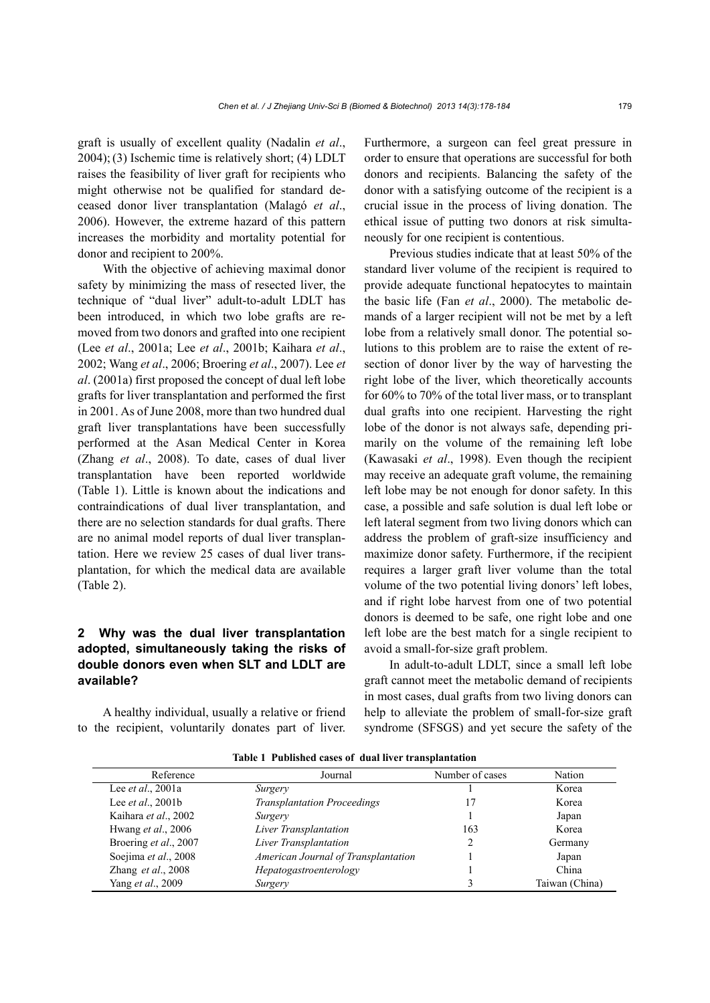graft is usually of excellent quality (Nadalin *et al*., 2004); (3) Ischemic time is relatively short; (4) LDLT raises the feasibility of liver graft for recipients who might otherwise not be qualified for standard deceased donor liver transplantation (Malagó *et al*., 2006). However, the extreme hazard of this pattern increases the morbidity and mortality potential for donor and recipient to 200%.

With the objective of achieving maximal donor safety by minimizing the mass of resected liver, the technique of "dual liver" adult-to-adult LDLT has been introduced, in which two lobe grafts are removed from two donors and grafted into one recipient (Lee *et al*., 2001a; Lee *et al*., 2001b; Kaihara *et al*., 2002; Wang *et al*., 2006; Broering *et al*., 2007). Lee *et al*. (2001a) first proposed the concept of dual left lobe grafts for liver transplantation and performed the first in 2001. As of June 2008, more than two hundred dual graft liver transplantations have been successfully performed at the Asan Medical Center in Korea (Zhang *et al*., 2008). To date, cases of dual liver transplantation have been reported worldwide (Table 1). Little is known about the indications and contraindications of dual liver transplantation, and there are no selection standards for dual grafts. There are no animal model reports of dual liver transplantation. Here we review 25 cases of dual liver transplantation, for which the medical data are available (Table 2).

### **2 Why was the dual liver transplantation adopted, simultaneously taking the risks of double donors even when SLT and LDLT are available?**

A healthy individual, usually a relative or friend to the recipient, voluntarily donates part of liver.

Furthermore, a surgeon can feel great pressure in order to ensure that operations are successful for both donors and recipients. Balancing the safety of the donor with a satisfying outcome of the recipient is a crucial issue in the process of living donation. The ethical issue of putting two donors at risk simultaneously for one recipient is contentious.

Previous studies indicate that at least 50% of the standard liver volume of the recipient is required to provide adequate functional hepatocytes to maintain the basic life (Fan *et al*., 2000). The metabolic demands of a larger recipient will not be met by a left lobe from a relatively small donor. The potential solutions to this problem are to raise the extent of resection of donor liver by the way of harvesting the right lobe of the liver, which theoretically accounts for 60% to 70% of the total liver mass, or to transplant dual grafts into one recipient. Harvesting the right lobe of the donor is not always safe, depending primarily on the volume of the remaining left lobe (Kawasaki *et al*., 1998). Even though the recipient may receive an adequate graft volume, the remaining left lobe may be not enough for donor safety. In this case, a possible and safe solution is dual left lobe or left lateral segment from two living donors which can address the problem of graft-size insufficiency and maximize donor safety. Furthermore, if the recipient requires a larger graft liver volume than the total volume of the two potential living donors' left lobes, and if right lobe harvest from one of two potential donors is deemed to be safe, one right lobe and one left lobe are the best match for a single recipient to avoid a small-for-size graft problem.

In adult-to-adult LDLT, since a small left lobe graft cannot meet the metabolic demand of recipients in most cases, dual grafts from two living donors can help to alleviate the problem of small-for-size graft syndrome (SFSGS) and yet secure the safety of the

| Reference                    | Journal                             | Number of cases | Nation         |
|------------------------------|-------------------------------------|-----------------|----------------|
| Lee <i>et al.</i> , 2001a    | Surgery                             |                 | Korea          |
| Lee et al., 2001b            | <b>Transplantation Proceedings</b>  |                 | Korea          |
| Kaihara et al., 2002         | Surgery                             |                 | Japan          |
| Hwang <i>et al.</i> , $2006$ | Liver Transplantation               | 163             | Korea          |
| Broering et al., 2007        | Liver Transplantation               |                 | Germany        |
| Soejima et al., 2008         | American Journal of Transplantation |                 | Japan          |
| Zhang $et al., 2008$         | Hepatogastroenterology              |                 | China          |
| Yang et al., 2009            | Surgery                             |                 | Taiwan (China) |

**Table 1 Published cases of dual liver transplantation**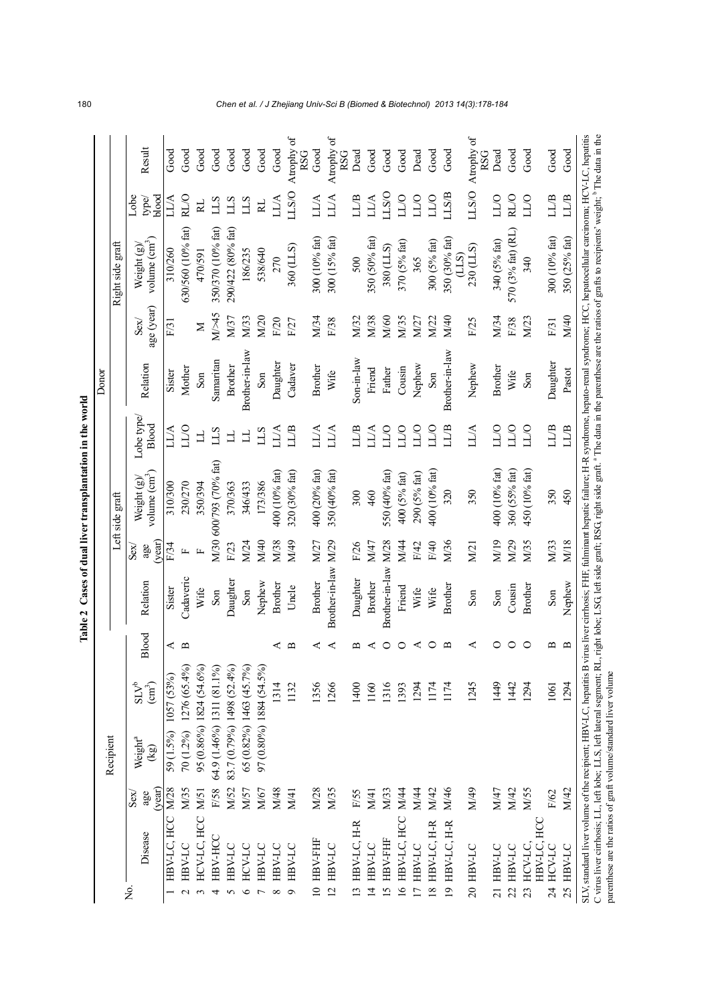|                                                                                                                                                                                                                                                                                                                                                                                                                                                                                                                          |                      |                           |                                                                 |                   |                     |                      |                                                   |                     | Donor          |                   |                                                 |                        |                          |
|--------------------------------------------------------------------------------------------------------------------------------------------------------------------------------------------------------------------------------------------------------------------------------------------------------------------------------------------------------------------------------------------------------------------------------------------------------------------------------------------------------------------------|----------------------|---------------------------|-----------------------------------------------------------------|-------------------|---------------------|----------------------|---------------------------------------------------|---------------------|----------------|-------------------|-------------------------------------------------|------------------------|--------------------------|
|                                                                                                                                                                                                                                                                                                                                                                                                                                                                                                                          |                      | Recipient                 |                                                                 |                   |                     |                      | Left side graft                                   |                     |                |                   | Right side graft                                |                        |                          |
| Disease<br>ż                                                                                                                                                                                                                                                                                                                                                                                                                                                                                                             | (year)<br>age<br>Sex | Weight <sup>a</sup><br>මූ | $\mathrm{S}\mathrm{L}\mathrm{V}^{\mathrm{b}}$<br>$\binom{1}{2}$ | Blood             | Relation            | (year)<br>age<br>Sex | volume $\left(\text{cm}^3\right)$<br>Weight $(g)$ | Lobe type/<br>Blood | Relation       | age (year)<br>Sex | volume $\left(\text{cm}^3\right)$<br>Weight (g) | blood<br>Lobe<br>type/ | Result                   |
| HBV-LC, HCC                                                                                                                                                                                                                                                                                                                                                                                                                                                                                                              | M/28                 | 59 (1.5%)                 | 1057 (53%)                                                      | ≺                 | Sister              | F/34                 | 310/300                                           | LLA                 | Sister         | F/3               | 310/260                                         | LL/A                   | Good                     |
| <b>TABLE</b><br>$\mathbf 2$                                                                                                                                                                                                                                                                                                                                                                                                                                                                                              | M/35                 | 70 (1.2%)                 | 1276 (65.4%)                                                    | $\mathbf{m}$      | Cadaveric           | $\mathbf{L}$         | 230/270                                           | OUD                 | Mother         |                   | 630/560 (10% fat)                               | RL/O                   | Good                     |
| HCV-LC, HCC                                                                                                                                                                                                                                                                                                                                                                                                                                                                                                              | M/51                 |                           | 95 (0.86%) 1824 (54.6%)                                         |                   | Wife                | $\mathbf{L}$         | 350/394                                           | $\Box$              | Son            | Σ                 | 470/591                                         | RL                     | Good                     |
| HBV-HCC<br>4                                                                                                                                                                                                                                                                                                                                                                                                                                                                                                             | F/58                 |                           | 64.9 (1.46%) 1311 (81.1%)                                       |                   | Son                 |                      | M/30 600/793 (70% fat)                            | STT                 | Samaritan      | M > 45            | 350/370 (10% fat)                               | STI                    | Good                     |
| HBV-LC<br>5                                                                                                                                                                                                                                                                                                                                                                                                                                                                                                              | M/52                 |                           | 83.7 (0.79%) 1498 (52.4%)                                       |                   | Daughter            | F/23                 | 370/363                                           | $\Box$              | Brother        | M/37              | 290/422 (80% fat)                               | STI                    | Good                     |
| HCV-LC<br>৩                                                                                                                                                                                                                                                                                                                                                                                                                                                                                                              | M57                  |                           | 65 (0.82%) 1463 (45.7%)                                         |                   | Son                 | M/24                 | 346/433                                           | $\exists$           | Brother-in-law | M/33              | 186/235                                         | <b>STT</b>             | Good                     |
| <b>HBV-LC</b>                                                                                                                                                                                                                                                                                                                                                                                                                                                                                                            | M/67                 |                           | 97 (0.80%) 1884 (54.5%)                                         |                   | Nephew              | M/40                 | 173/386                                           | STT                 | Son            | M/20              | 538/640                                         | 닍                      | Good                     |
| HBV-LC<br>$\infty$                                                                                                                                                                                                                                                                                                                                                                                                                                                                                                       | M/48                 |                           | 1314                                                            | ⋖                 | Brother             | M/38                 | 400 (10% fat)                                     | <b>ALLI</b>         | Daughter       | F/20              | 270                                             | <b>NTI</b>             | Good                     |
| HBV-LC<br>Ō                                                                                                                                                                                                                                                                                                                                                                                                                                                                                                              | M/41                 |                           | 1132                                                            | മ                 | Uncle               | M/49                 | 320 (30% fat)                                     | LLB                 | Cadaver        | F/27              | 360 (LLS)                                       | LLS/O                  | Atrophy of<br>RSG        |
| 10 HBV-FHF                                                                                                                                                                                                                                                                                                                                                                                                                                                                                                               | M/28                 |                           | 1356                                                            | ⋖                 | Brother             | M/27                 | 400 (20% fat)                                     | <b>NTI</b>          | Brother        | M/34              | 300 (10% fat)                                   | <b>NTI</b>             | Good                     |
| HBV-LC<br>$\overline{c}$                                                                                                                                                                                                                                                                                                                                                                                                                                                                                                 | M/35                 |                           | 1266                                                            | ⋖                 | Brother-in-law M/29 |                      | 350 (40% fat)                                     | <b>A/TT</b>         | Wife           | F/38              | 300 (15% fat)                                   | <b>A/TI</b>            | Atrophy of<br><b>RSG</b> |
| 13 HBV-LC, H-R                                                                                                                                                                                                                                                                                                                                                                                                                                                                                                           | F/55                 |                           | 1400                                                            | ≃                 | Daughter            | F/26                 | 300                                               | LL/B                | Son-in-law     | M/32              | 500                                             | LL/B                   | Dead                     |
| 14 HBV-LC                                                                                                                                                                                                                                                                                                                                                                                                                                                                                                                | M/41                 |                           | 160                                                             | ⋖                 | <b>Brother</b>      | M/47                 | 460                                               | <b>NTI</b>          | Friend         | M/38              | 350 (50% fat)                                   | LL/A                   | Good                     |
| HBV-FHF<br>$\overline{15}$                                                                                                                                                                                                                                                                                                                                                                                                                                                                                               | M/33                 |                           | 1316                                                            | $\circ$           | Brother-in-law      | M/28                 | 550 (40% fat)                                     | OUI                 | Father         | M/60              | 380 (LLS)                                       | <b>CISC</b>            | Good                     |
| 16 HBV-LC, HCC                                                                                                                                                                                                                                                                                                                                                                                                                                                                                                           | M/44                 |                           | 1393                                                            | $\circ$           | Friend              | M/44                 | 400 (5% fat)                                      | OUI                 | Cousin         | M/35              | 370 (5% fat)                                    | <b>D/T1</b>            | Good                     |
| 17 HBV-LC                                                                                                                                                                                                                                                                                                                                                                                                                                                                                                                | M/44                 |                           | 1294                                                            | ⋖                 | Wife                | F/42                 | 290 (5% fat)                                      | O/TI                | Nephew         | M/27              | 365                                             | <b>O/TI</b>            | Dead                     |
| 18 HBV-LC, H-R                                                                                                                                                                                                                                                                                                                                                                                                                                                                                                           | M/42                 |                           | 1174                                                            | $\circ$           | Wife                | F/40                 | 400 (10% fat)                                     | O/TI                | Son            | M/22              | 300 (5% fat)                                    | LL/O                   | Good                     |
| 19 HBV-LC, H-R                                                                                                                                                                                                                                                                                                                                                                                                                                                                                                           | M/46                 |                           | 1174                                                            | മ                 | Brother             | M/36                 | 320                                               | <b>LLB</b>          | Brother-in-law | M/40              | 350 (30% fat)<br>(LLS)                          | <b>CLSSB</b>           | Good                     |
| 20 HBV-LC                                                                                                                                                                                                                                                                                                                                                                                                                                                                                                                | M/49                 |                           | 1245                                                            | ⋖                 | Son                 | M/21                 | 350                                               | LL/A                | Nephew         | F/25              | $230$ (LLS)                                     | LLS/O                  | Atrophy of<br>RSG        |
| 21 HBV-LC                                                                                                                                                                                                                                                                                                                                                                                                                                                                                                                | M/47                 |                           | 1449                                                            | ○                 | Son                 | M/19                 | 400 (10% fat)                                     | OUI                 | <b>Brother</b> | M/34              | 340 (5% fat)                                    | <b>DTT</b>             | Dead                     |
| 22 HBV-LC                                                                                                                                                                                                                                                                                                                                                                                                                                                                                                                | M/42                 |                           | 142                                                             | ○                 | Cousin              | M/29                 | 360 (55% fat)                                     | OUI                 | Wife           | F/38              | 570 (3% fat) (RL)                               | RL/O                   | Good                     |
| HBV-LC, HCC<br>HCV-LC.<br>$23 \text{ }$                                                                                                                                                                                                                                                                                                                                                                                                                                                                                  | <b>M/55</b>          |                           | 1294                                                            | $\circ$           | Brother             | M/35                 | 450 (10% fat)                                     | OUI                 | Son            | M/23              | 340                                             | <b>DTI</b>             | Good                     |
| 24 HCV-LC                                                                                                                                                                                                                                                                                                                                                                                                                                                                                                                | F/62                 |                           | 1061                                                            | ≃                 | Son                 | M/33                 | 350                                               | LL/B                | Daughter       | F/31              | 300 (10% fat)                                   | LL/B                   | Good                     |
| 25 HBV-LC                                                                                                                                                                                                                                                                                                                                                                                                                                                                                                                | M/42                 |                           | 1294                                                            | $\mathbf{\Omega}$ | Nephew              | M/18                 | 450                                               | <b>ELLI</b>         | Pastot         | M/40              | 350 (25% fat)                                   | LLB                    | Good                     |
| SLV, standard liver volume of the recipient; HBV-LC, hepatitis B virus liver cirrhosis; FHF, fulminant hepatic failure; H-R syndrome, hepato-renal syndrome; HCC, hepato-ranna; HCV-LC, hepatitis<br>C virus liver cirrhosis; LL, left lobe; LLS, left lateral segment; RL, right lobe; LSG, left side graft; RSG, right side graft. <sup>a</sup> The data in the parenthese are the ratios of grafts to recipients' weight; <sup>b</sup> The data in<br>parenthese are the ratios of graft volume/standard liver volume |                      |                           |                                                                 |                   |                     |                      |                                                   |                     |                |                   |                                                 |                        |                          |

Table 2 Cases of dual liver transplantation in the world **Table 2 Cases of dual liver transplantation in the world** 

#### 180 *Chen et al. / J Zhejiang Univ-Sci B (Biomed & Biotechnol) 2013 14(3):178-18 4*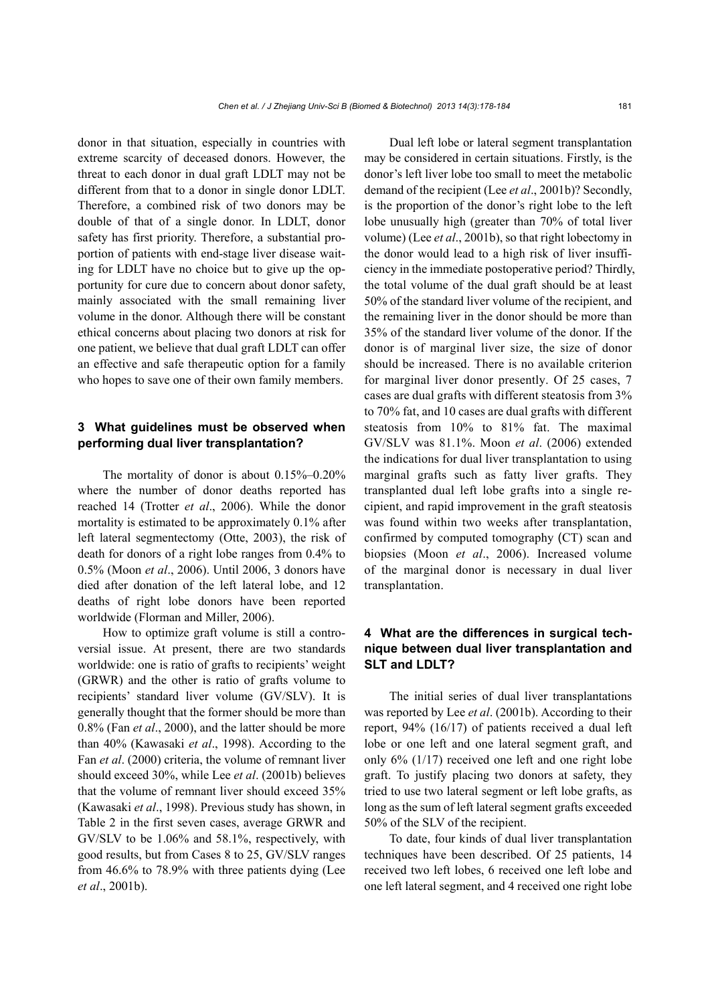donor in that situation, especially in countries with extreme scarcity of deceased donors. However, the threat to each donor in dual graft LDLT may not be different from that to a donor in single donor LDLT. Therefore, a combined risk of two donors may be double of that of a single donor. In LDLT, donor safety has first priority. Therefore, a substantial proportion of patients with end-stage liver disease waiting for LDLT have no choice but to give up the opportunity for cure due to concern about donor safety, mainly associated with the small remaining liver volume in the donor. Although there will be constant ethical concerns about placing two donors at risk for one patient, we believe that dual graft LDLT can offer an effective and safe therapeutic option for a family who hopes to save one of their own family members.

### **3 What guidelines must be observed when performing dual liver transplantation?**

The mortality of donor is about 0.15%–0.20% where the number of donor deaths reported has reached 14 (Trotter *et al*., 2006). While the donor mortality is estimated to be approximately 0.1% after left lateral segmentectomy (Otte, 2003), the risk of death for donors of a right lobe ranges from 0.4% to 0.5% (Moon *et al*., 2006). Until 2006, 3 donors have died after donation of the left lateral lobe, and 12 deaths of right lobe donors have been reported worldwide (Florman and Miller, 2006).

How to optimize graft volume is still a controversial issue. At present, there are two standards worldwide: one is ratio of grafts to recipients' weight (GRWR) and the other is ratio of grafts volume to recipients' standard liver volume (GV/SLV). It is generally thought that the former should be more than 0.8% (Fan *et al*., 2000), and the latter should be more than 40% (Kawasaki *et al*., 1998). According to the Fan *et al*. (2000) criteria, the volume of remnant liver should exceed 30%, while Lee *et al*. (2001b) believes that the volume of remnant liver should exceed 35% (Kawasaki *et al*., 1998). Previous study has shown, in Table 2 in the first seven cases, average GRWR and GV/SLV to be 1.06% and 58.1%, respectively, with good results, but from Cases 8 to 25, GV/SLV ranges from 46.6% to 78.9% with three patients dying (Lee *et al*., 2001b).

Dual left lobe or lateral segment transplantation may be considered in certain situations. Firstly, is the donor's left liver lobe too small to meet the metabolic demand of the recipient (Lee *et al*., 2001b)? Secondly, is the proportion of the donor's right lobe to the left lobe unusually high (greater than 70% of total liver volume) (Lee *et al*., 2001b), so that right lobectomy in the donor would lead to a high risk of liver insufficiency in the immediate postoperative period? Thirdly, the total volume of the dual graft should be at least 50% of the standard liver volume of the recipient, and the remaining liver in the donor should be more than 35% of the standard liver volume of the donor. If the donor is of marginal liver size, the size of donor should be increased. There is no available criterion for marginal liver donor presently. Of 25 cases, 7 cases are dual grafts with different steatosis from 3% to 70% fat, and 10 cases are dual grafts with different steatosis from 10% to 81% fat. The maximal GV/SLV was 81.1%. Moon *et al*. (2006) extended the indications for dual liver transplantation to using marginal grafts such as fatty liver grafts. They transplanted dual left lobe grafts into a single recipient, and rapid improvement in the graft steatosis was found within two weeks after transplantation, confirmed by computed tomography (CT) scan and biopsies (Moon *et al*., 2006). Increased volume of the marginal donor is necessary in dual liver transplantation.

### **4 What are the differences in surgical technique between dual liver transplantation and SLT and LDLT?**

The initial series of dual liver transplantations was reported by Lee *et al*. (2001b). According to their report, 94% (16/17) of patients received a dual left lobe or one left and one lateral segment graft, and only 6% (1/17) received one left and one right lobe graft. To justify placing two donors at safety, they tried to use two lateral segment or left lobe grafts, as long as the sum of left lateral segment grafts exceeded 50% of the SLV of the recipient.

To date, four kinds of dual liver transplantation techniques have been described. Of 25 patients, 14 received two left lobes, 6 received one left lobe and one left lateral segment, and 4 received one right lobe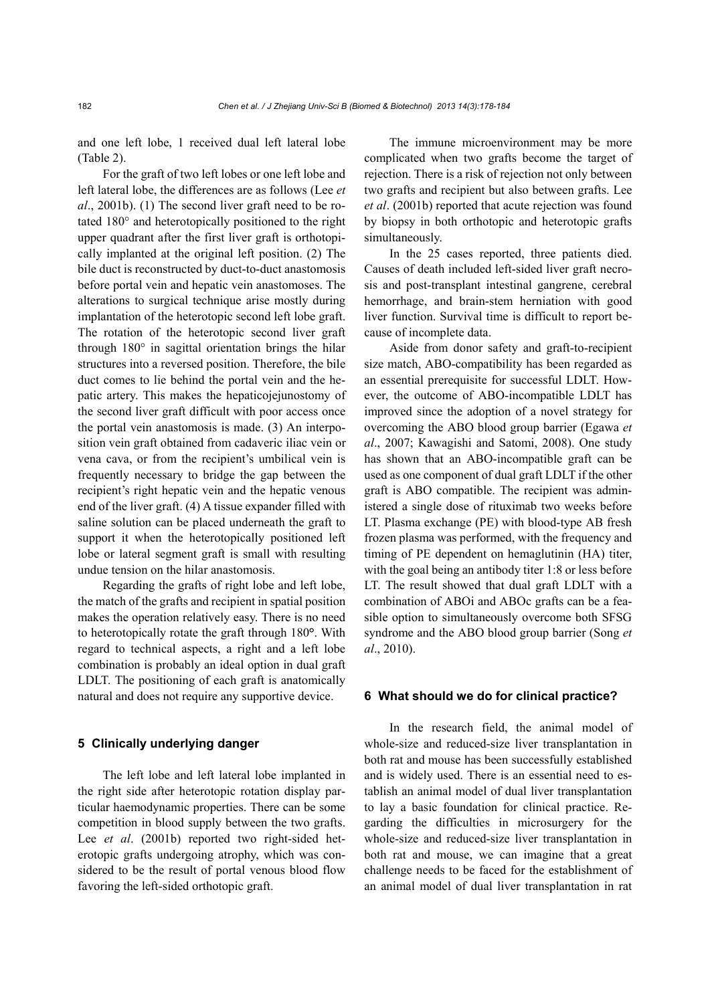and one left lobe, 1 received dual left lateral lobe (Table 2).

For the graft of two left lobes or one left lobe and left lateral lobe, the differences are as follows (Lee *et al*., 2001b). (1) The second liver graft need to be rotated 180° and heterotopically positioned to the right upper quadrant after the first liver graft is orthotopically implanted at the original left position. (2) The bile duct is reconstructed by duct-to-duct anastomosis before portal vein and hepatic vein anastomoses. The alterations to surgical technique arise mostly during implantation of the heterotopic second left lobe graft. The rotation of the heterotopic second liver graft through 180° in sagittal orientation brings the hilar structures into a reversed position. Therefore, the bile duct comes to lie behind the portal vein and the hepatic artery. This makes the hepaticojejunostomy of the second liver graft difficult with poor access once the portal vein anastomosis is made. (3) An interposition vein graft obtained from cadaveric iliac vein or vena cava, or from the recipient's umbilical vein is frequently necessary to bridge the gap between the recipient's right hepatic vein and the hepatic venous end of the liver graft. (4) A tissue expander filled with saline solution can be placed underneath the graft to support it when the heterotopically positioned left lobe or lateral segment graft is small with resulting undue tension on the hilar anastomosis.

Regarding the grafts of right lobe and left lobe, the match of the grafts and recipient in spatial position makes the operation relatively easy. There is no need to heterotopically rotate the graft through 180**°**. With regard to technical aspects, a right and a left lobe combination is probably an ideal option in dual graft LDLT. The positioning of each graft is anatomically natural and does not require any supportive device.

#### **5 Clinically underlying danger**

The left lobe and left lateral lobe implanted in the right side after heterotopic rotation display particular haemodynamic properties. There can be some competition in blood supply between the two grafts. Lee *et al.* (2001b) reported two right-sided heterotopic grafts undergoing atrophy, which was considered to be the result of portal venous blood flow favoring the left-sided orthotopic graft.

The immune microenvironment may be more complicated when two grafts become the target of rejection. There is a risk of rejection not only between two grafts and recipient but also between grafts. Lee *et al*. (2001b) reported that acute rejection was found by biopsy in both orthotopic and heterotopic grafts simultaneously.

In the 25 cases reported, three patients died. Causes of death included left-sided liver graft necrosis and post-transplant intestinal gangrene, cerebral hemorrhage, and brain-stem herniation with good liver function. Survival time is difficult to report because of incomplete data.

Aside from donor safety and graft-to-recipient size match, ABO-compatibility has been regarded as an essential prerequisite for successful LDLT. However, the outcome of ABO-incompatible LDLT has improved since the adoption of a novel strategy for overcoming the ABO blood group barrier (Egawa *et al*., 2007; Kawagishi and Satomi, 2008). One study has shown that an ABO-incompatible graft can be used as one component of dual graft LDLT if the other graft is ABO compatible. The recipient was administered a single dose of rituximab two weeks before LT. Plasma exchange (PE) with blood-type AB fresh frozen plasma was performed, with the frequency and timing of PE dependent on hemaglutinin (HA) titer, with the goal being an antibody titer 1:8 or less before LT. The result showed that dual graft LDLT with a combination of ABOi and ABOc grafts can be a feasible option to simultaneously overcome both SFSG syndrome and the ABO blood group barrier (Song *et al*., 2010).

#### **6 What should we do for clinical practice?**

In the research field, the animal model of whole-size and reduced-size liver transplantation in both rat and mouse has been successfully established and is widely used. There is an essential need to establish an animal model of dual liver transplantation to lay a basic foundation for clinical practice. Regarding the difficulties in microsurgery for the whole-size and reduced-size liver transplantation in both rat and mouse, we can imagine that a great challenge needs to be faced for the establishment of an animal model of dual liver transplantation in rat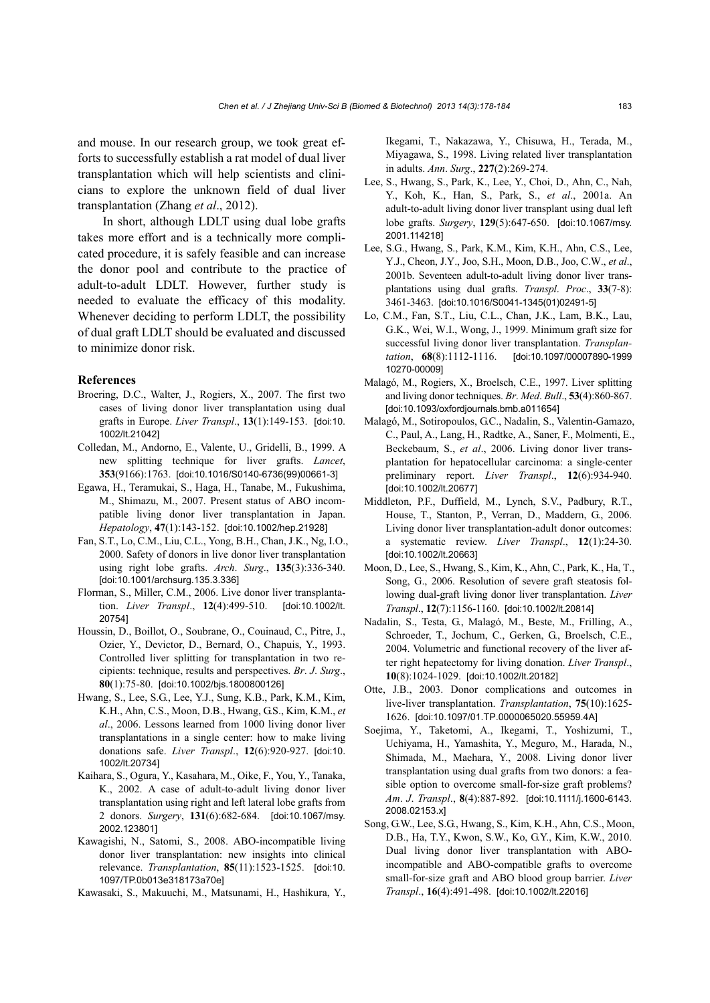and mouse. In our research group, we took great efforts to successfully establish a rat model of dual liver transplantation which will help scientists and clinicians to explore the unknown field of dual liver transplantation (Zhang *et al*., 2012).

In short, although LDLT using dual lobe grafts takes more effort and is a technically more complicated procedure, it is safely feasible and can increase the donor pool and contribute to the practice of adult-to-adult LDLT. However, further study is needed to evaluate the efficacy of this modality. Whenever deciding to perform LDLT, the possibility of dual graft LDLT should be evaluated and discussed to minimize donor risk.

#### **References**

- Broering, D.C., Walter, J., Rogiers, X., 2007. The first two cases of living donor liver transplantation using dual grafts in Europe. *Liver Transpl*., **13**(1):149-153. [doi:10. 1002/lt.21042]
- Colledan, M., Andorno, E., Valente, U., Gridelli, B., 1999. A new splitting technique for liver grafts. *Lancet*, **353**(9166):1763. [doi:10.1016/S0140-6736(99)00661-3]
- Egawa, H., Teramukai, S., Haga, H., Tanabe, M., Fukushima, M., Shimazu, M., 2007. Present status of ABO incompatible living donor liver transplantation in Japan. *Hepatology*, **47**(1):143-152. [doi:10.1002/hep.21928]
- Fan, S.T., Lo, C.M., Liu, C.L., Yong, B.H., Chan, J.K., Ng, I.O., 2000. Safety of donors in live donor liver transplantation using right lobe grafts. *Arch*. *Surg*., **135**(3):336-340. [doi:10.1001/archsurg.135.3.336]
- Florman, S., Miller, C.M., 2006. Live donor liver transplantation. *Liver Transpl*., **12**(4):499-510. [doi:10.1002/lt. 20754]
- Houssin, D., Boillot, O., Soubrane, O., Couinaud, C., Pitre, J., Ozier, Y., Devictor, D., Bernard, O., Chapuis, Y., 1993. Controlled liver splitting for transplantation in two recipients: technique, results and perspectives. *Br*. *J*. *Surg*., **80**(1):75-80. [doi:10.1002/bjs.1800800126]
- Hwang, S., Lee, S.G., Lee, Y.J., Sung, K.B., Park, K.M., Kim, K.H., Ahn, C.S., Moon, D.B., Hwang, G.S., Kim, K.M., *et al*., 2006. Lessons learned from 1000 living donor liver transplantations in a single center: how to make living donations safe. *Liver Transpl*., **12**(6):920-927. [doi:10. 1002/lt.20734]
- Kaihara, S., Ogura, Y., Kasahara, M., Oike, F., You, Y., Tanaka, K., 2002. A case of adult-to-adult living donor liver transplantation using right and left lateral lobe grafts from 2 donors. *Surgery*, **131**(6):682-684. [doi:10.1067/msy. 2002.123801]
- Kawagishi, N., Satomi, S., 2008. ABO-incompatible living donor liver transplantation: new insights into clinical relevance. *Transplantation*, **85**(11):1523-1525. [doi:10. 1097/TP.0b013e318173a70e]
- Kawasaki, S., Makuuchi, M., Matsunami, H., Hashikura, Y.,

Ikegami, T., Nakazawa, Y., Chisuwa, H., Terada, M., Miyagawa, S., 1998. Living related liver transplantation in adults. *Ann*. *Surg*., **227**(2):269-274.

- Lee, S., Hwang, S., Park, K., Lee, Y., Choi, D., Ahn, C., Nah, Y., Koh, K., Han, S., Park, S., *et al*., 2001a. An adult-to-adult living donor liver transplant using dual left lobe grafts. *Surgery*, **129**(5):647-650. [doi:10.1067/msy. 2001.114218]
- Lee, S.G., Hwang, S., Park, K.M., Kim, K.H., Ahn, C.S., Lee, Y.J., Cheon, J.Y., Joo, S.H., Moon, D.B., Joo, C.W., *et al*., 2001b. Seventeen adult-to-adult living donor liver transplantations using dual grafts. *Transpl*. *Proc*., **33**(7-8): 3461-3463. [doi:10.1016/S0041-1345(01)02491-5]
- Lo, C.M., Fan, S.T., Liu, C.L., Chan, J.K., Lam, B.K., Lau, G.K., Wei, W.I., Wong, J., 1999. Minimum graft size for successful living donor liver transplantation. *Transplantation*, **68**(8):1112-1116. [doi:10.1097/00007890-1999 10270-00009]
- Malagó, M., Rogiers, X., Broelsch, C.E., 1997. Liver splitting and living donor techniques. *Br*. *Med*. *Bull*., **53**(4):860-867. [doi:10.1093/oxfordjournals.bmb.a011654]
- Malagó, M., Sotiropoulos, G.C., Nadalin, S., Valentin-Gamazo, C., Paul, A., Lang, H., Radtke, A., Saner, F., Molmenti, E., Beckebaum, S., *et al*., 2006. Living donor liver transplantation for hepatocellular carcinoma: a single-center preliminary report. *Liver Transpl*., **12**(6):934-940. [doi:10.1002/lt.20677]
- Middleton, P.F., Duffield, M., Lynch, S.V., Padbury, R.T., House, T., Stanton, P., Verran, D., Maddern, G., 2006. Living donor liver transplantation-adult donor outcomes: a systematic review. *Liver Transpl*., **12**(1):24-30. [doi:10.1002/lt.20663]
- Moon, D., Lee, S., Hwang, S., Kim, K., Ahn, C., Park, K., Ha, T., Song, G., 2006. Resolution of severe graft steatosis following dual-graft living donor liver transplantation. *Liver Transpl*., **12**(7):1156-1160. [doi:10.1002/lt.20814]
- Nadalin, S., Testa, G., Malagó, M., Beste, M., Frilling, A., Schroeder, T., Jochum, C., Gerken, G., Broelsch, C.E., 2004. Volumetric and functional recovery of the liver after right hepatectomy for living donation. *Liver Transpl*., **10**(8):1024-1029. [doi:10.1002/lt.20182]
- Otte, J.B., 2003. Donor complications and outcomes in live-liver transplantation. *Transplantation*, **75**(10):1625- 1626. [doi:10.1097/01.TP.0000065020.55959.4A]
- Soejima, Y., Taketomi, A., Ikegami, T., Yoshizumi, T., Uchiyama, H., Yamashita, Y., Meguro, M., Harada, N., Shimada, M., Maehara, Y., 2008. Living donor liver transplantation using dual grafts from two donors: a feasible option to overcome small-for-size graft problems? *Am*. *J*. *Transpl*., **8**(4):887-892. [doi:10.1111/j.1600-6143. 2008.02153.x]
- Song, G.W., Lee, S.G., Hwang, S., Kim, K.H., Ahn, C.S., Moon, D.B., Ha, T.Y., Kwon, S.W., Ko, G.Y., Kim, K.W., 2010. Dual living donor liver transplantation with ABOincompatible and ABO-compatible grafts to overcome small-for-size graft and ABO blood group barrier. *Liver Transpl*., **16**(4):491-498. [doi:10.1002/lt.22016]